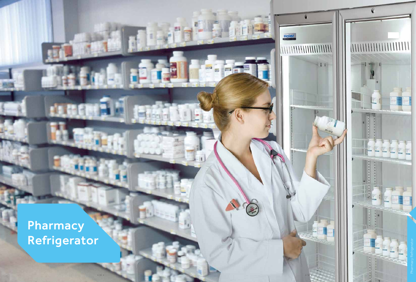Pharmacy Refrigerator



Haier

**Contract** 

国西西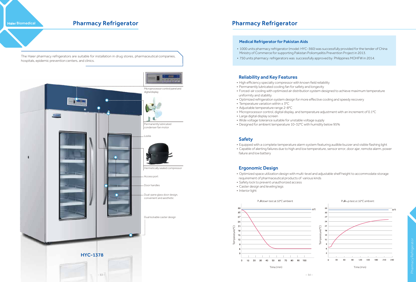• 1000 units pharmacy refrigerator (model: HYC-360) was successfully provided for the tender of China

- Ministry of Commerce for supporting Pakistan Poliomyelitis Prevention Project in 2013.
- 750 units pharmacy refrigerators was successfully approved by Philippines MOHFW in 2014.

#### Reliability and Key Features

- High efficiency specialty compressor with known field reliability
- Permanently lubricated cooling fan for safety and longevity • Forced-air cooling with optimized air distribution system designed to achieve maximum temperature
- uniformity and stability
- Optimized refrigeration system design for more effective cooling and speedy recovery
- Temperature variation within ± 3°C
- Adjustable temperature range 2~8°C
- Microprocessor control, digital display, and temperature adjustment with an increment of 0.1°C
- Large digital display screen
- Wide voltage tolerance suitable for unstable voltage supply • Designed for ambient temperature 10~32°C with humidity below 95%

#### Safety

- Equipped with a complete temperature alarm system featuring audible buzzer and visible flashing light
- failure and low battery

• Capable of alerting failures due to high and low temperature, sensor error, door ajar, remote alarm, power

#### Ergonomic Design

• Optimized space utilization design with multi-level and adjustable shelf height to accommodate storage

Time (min)

- requirement of pharmaceutical products of various kinds
- Safety lock to prevent unauthorized access
- Caster design and leveling legs
- Interior light





Time (min)

#### Medical Refrigerator for Pakistan Aids

**Haier Biomedical** 

The Haier pharmacy refrigerators are suitable for installation in drug stores, pharmaceutical companies, hospitals, epidemic prevention centers, and clinics.



## Pharmacy Refrigerator **Pharmacy Refrigerator** Pharmacy Refrigerator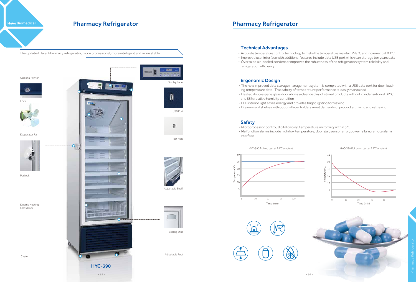#### Technical Advantages

• Accurate temperature control technology to make the temperature maintain 2~8 °C and increment at 0.1°C • Improved user interface with additional features include data USB port which can storage ten years data • Oversized air–cooled condenser improves the robustness of the refrigeration system reliability and

- 
- 
- refrigeration efficiency

### Ergonomic Design

**Haier Biomedical** 



## Pharmacy Refrigerator **Pharmacy Refrigerator** Pharmacy Refrigerator

- The new improved data storage management system is completed with a USB data port for downloading temperature data. Traceability of temperature performance is easily maintained
- Heated double-pane glass door allows a clear display of stored products without condensation at 32°C and 85% relative humidity condition
- LED interior light saves energy and provides bright lighting for viewing
- Drawers and shelves with optional label holders meet demands of product archiving and retrieving

HYC-390 Pull-up test at 25°C ambient





#### Safety

- Microprocessor control, digital display, temperature uniformity within 3°C
- interface

• Malfunction alarms include high/low temperature, door ajar, sensor error, power failure, remote alarm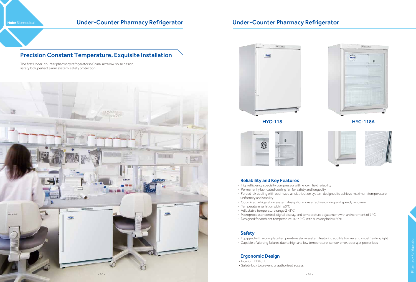# Haier Biomedical **Under-Counter Pharmacy Refrigerator** Under-Counter Pharmacy Refrigerator

#### HYC-118 HYC-118A





#### Reliability and Key Features

• Forced-air cooling with optimized air distribution system designed to achieve maximum temperature

- High efficiency specialty compressor with known field reliability
- Permanently lubricated cooling fan for safety and longevity
- uniformity and stability
- Optimized refrigeration system design for more effective cooling and speedy recovery
- Temperature variation within ±3°C
- Adjustable temperature range 2 ~8°C
- Designed for ambient temperature 10~32°C with humidity below 60%

• Microprocessor control, digital display, and temperature adjustment with an increment of 1 °C

#### Safety

- Equipped with a complete temperature alarm system featuring audible buzzer and visual flashing light
- Capable of alerting failures due to high and low temperature, sensor error, door ajar,power loss

### Ergonomic Design

- Interior LED light
- Safety lock to prevent unauthorized access



## Precision Constant Temperature, Exquisite Installation

The first Under-counter pharmacy refrigerator in China, ultra low noise design, safety lock, perfect alarm system, safety protection.